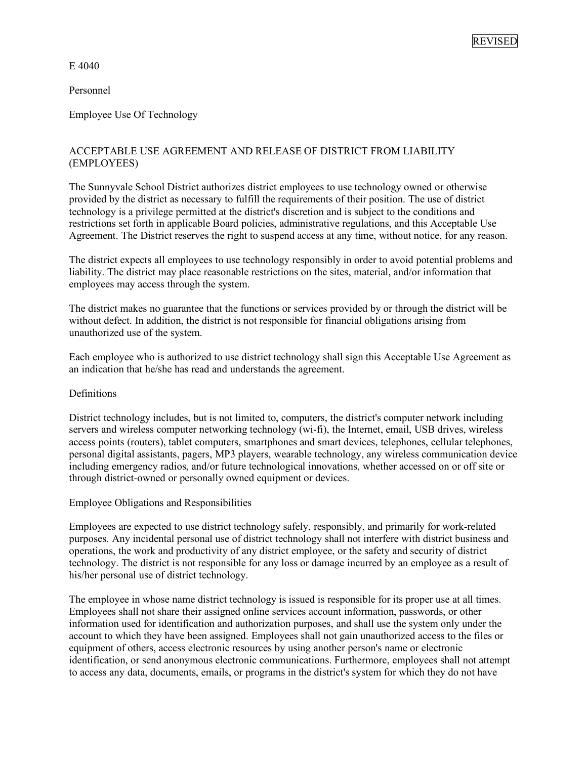E 4040

Personnel

Employee Use Of Technology

# ACCEPTABLE USE AGREEMENT AND RELEASE OF DISTRICT FROM LIABILITY (EMPLOYEES)

The Sunnyvale School District authorizes district employees to use technology owned or otherwise provided by the district as necessary to fulfill the requirements of their position. The use of district technology is a privilege permitted at the district's discretion and is subject to the conditions and restrictions set forth in applicable Board policies, administrative regulations, and this Acceptable Use Agreement. The District reserves the right to suspend access at any time, without notice, for any reason.

The district expects all employees to use technology responsibly in order to avoid potential problems and liability. The district may place reasonable restrictions on the sites, material, and/or information that employees may access through the system.

The district makes no guarantee that the functions or services provided by or through the district will be without defect. In addition, the district is not responsible for financial obligations arising from unauthorized use of the system.

Each employee who is authorized to use district technology shall sign this Acceptable Use Agreement as an indication that he/she has read and understands the agreement.

# **Definitions**

District technology includes, but is not limited to, computers, the district's computer network including servers and wireless computer networking technology (wi-fi), the Internet, email, USB drives, wireless access points (routers), tablet computers, smartphones and smart devices, telephones, cellular telephones, personal digital assistants, pagers, MP3 players, wearable technology, any wireless communication device including emergency radios, and/or future technological innovations, whether accessed on or off site or through district-owned or personally owned equipment or devices.

Employee Obligations and Responsibilities

Employees are expected to use district technology safely, responsibly, and primarily for work-related purposes. Any incidental personal use of district technology shall not interfere with district business and operations, the work and productivity of any district employee, or the safety and security of district technology. The district is not responsible for any loss or damage incurred by an employee as a result of his/her personal use of district technology.

The employee in whose name district technology is issued is responsible for its proper use at all times. Employees shall not share their assigned online services account information, passwords, or other information used for identification and authorization purposes, and shall use the system only under the account to which they have been assigned. Employees shall not gain unauthorized access to the files or equipment of others, access electronic resources by using another person's name or electronic identification, or send anonymous electronic communications. Furthermore, employees shall not attempt to access any data, documents, emails, or programs in the district's system for which they do not have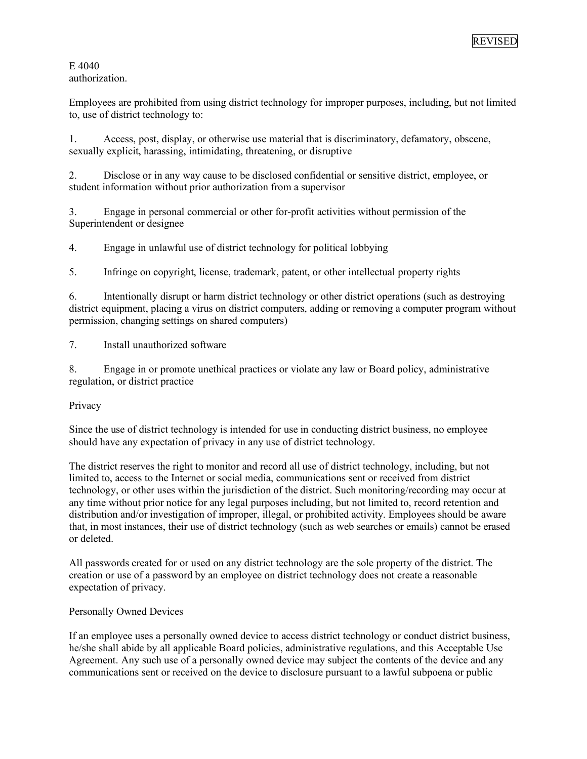E 4040 authorization.

Employees are prohibited from using district technology for improper purposes, including, but not limited to, use of district technology to:

1. Access, post, display, or otherwise use material that is discriminatory, defamatory, obscene, sexually explicit, harassing, intimidating, threatening, or disruptive

2. Disclose or in any way cause to be disclosed confidential or sensitive district, employee, or student information without prior authorization from a supervisor

3. Engage in personal commercial or other for-profit activities without permission of the Superintendent or designee

4. Engage in unlawful use of district technology for political lobbying

5. Infringe on copyright, license, trademark, patent, or other intellectual property rights

6. Intentionally disrupt or harm district technology or other district operations (such as destroying district equipment, placing a virus on district computers, adding or removing a computer program without permission, changing settings on shared computers)

7. Install unauthorized software

8. Engage in or promote unethical practices or violate any law or Board policy, administrative regulation, or district practice

Privacy

Since the use of district technology is intended for use in conducting district business, no employee should have any expectation of privacy in any use of district technology.

The district reserves the right to monitor and record all use of district technology, including, but not limited to, access to the Internet or social media, communications sent or received from district technology, or other uses within the jurisdiction of the district. Such monitoring/recording may occur at any time without prior notice for any legal purposes including, but not limited to, record retention and distribution and/or investigation of improper, illegal, or prohibited activity. Employees should be aware that, in most instances, their use of district technology (such as web searches or emails) cannot be erased or deleted.

All passwords created for or used on any district technology are the sole property of the district. The creation or use of a password by an employee on district technology does not create a reasonable expectation of privacy.

# Personally Owned Devices

If an employee uses a personally owned device to access district technology or conduct district business, he/she shall abide by all applicable Board policies, administrative regulations, and this Acceptable Use Agreement. Any such use of a personally owned device may subject the contents of the device and any communications sent or received on the device to disclosure pursuant to a lawful subpoena or public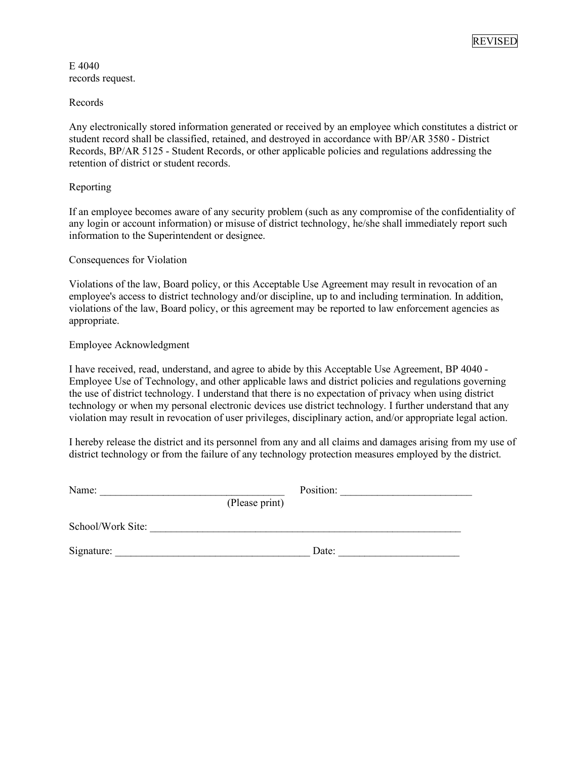REVISED

E 4040 records request.

Records

Any electronically stored information generated or received by an employee which constitutes a district or student record shall be classified, retained, and destroyed in accordance with BP/AR 3580 - District Records, BP/AR 5125 - Student Records, or other applicable policies and regulations addressing the retention of district or student records.

# Reporting

If an employee becomes aware of any security problem (such as any compromise of the confidentiality of any login or account information) or misuse of district technology, he/she shall immediately report such information to the Superintendent or designee.

### Consequences for Violation

Violations of the law, Board policy, or this Acceptable Use Agreement may result in revocation of an employee's access to district technology and/or discipline, up to and including termination. In addition, violations of the law, Board policy, or this agreement may be reported to law enforcement agencies as appropriate.

### Employee Acknowledgment

I have received, read, understand, and agree to abide by this Acceptable Use Agreement, BP 4040 - Employee Use of Technology, and other applicable laws and district policies and regulations governing the use of district technology. I understand that there is no expectation of privacy when using district technology or when my personal electronic devices use district technology. I further understand that any violation may result in revocation of user privileges, disciplinary action, and/or appropriate legal action.

I hereby release the district and its personnel from any and all claims and damages arising from my use of district technology or from the failure of any technology protection measures employed by the district.

| Name:             | (Please print) | Position: |
|-------------------|----------------|-----------|
| School/Work Site: |                |           |
| Signature:        |                | Date:     |